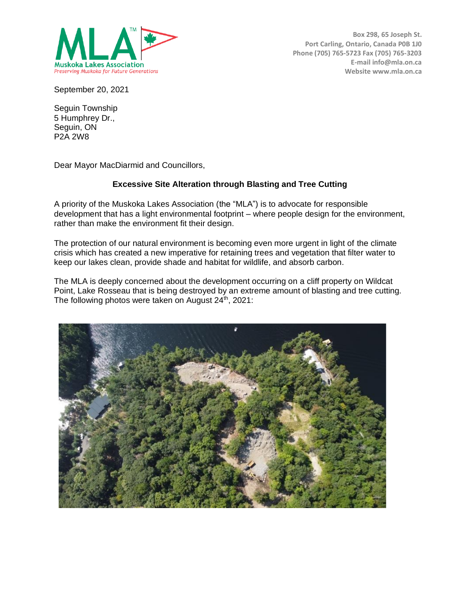

**Box 298, 65 Joseph St. Port Carling, Ontario, Canada P0B 1J0 Phone (705) 765-5723 Fax (705) 765-3203 E-mail info@mla.on.ca Website www.mla.on.ca**

September 20, 2021

Seguin Township 5 Humphrey Dr., Seguin, ON P2A 2W8

Dear Mayor MacDiarmid and Councillors,

# **Excessive Site Alteration through Blasting and Tree Cutting**

A priority of the Muskoka Lakes Association (the "MLA") is to advocate for responsible development that has a light environmental footprint – where people design for the environment, rather than make the environment fit their design.

The protection of our natural environment is becoming even more urgent in light of the climate crisis which has created a new imperative for retaining trees and vegetation that filter water to keep our lakes clean, provide shade and habitat for wildlife, and absorb carbon.

The MLA is deeply concerned about the development occurring on a cliff property on Wildcat Point, Lake Rosseau that is being destroyed by an extreme amount of blasting and tree cutting. The following photos were taken on August 24<sup>th</sup>, 2021:

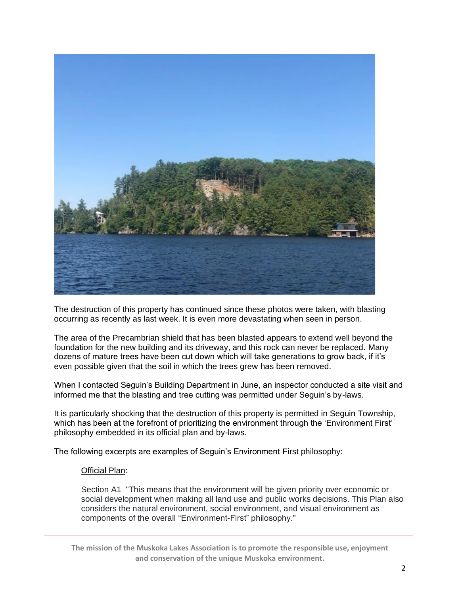

The destruction of this property has continued since these photos were taken, with blasting occurring as recently as last week. It is even more devastating when seen in person.

The area of the Precambrian shield that has been blasted appears to extend well beyond the foundation for the new building and its driveway, and this rock can never be replaced. Many dozens of mature trees have been cut down which will take generations to grow back, if it's even possible given that the soil in which the trees grew has been removed.

When I contacted Seguin's Building Department in June, an inspector conducted a site visit and informed me that the blasting and tree cutting was permitted under Seguin's by-laws.

It is particularly shocking that the destruction of this property is permitted in Seguin Township, which has been at the forefront of prioritizing the environment through the 'Environment First' philosophy embedded in its official plan and by-laws.

The following excerpts are examples of Seguin's Environment First philosophy:

#### Official Plan:

Section A1 "This means that the environment will be given priority over economic or social development when making all land use and public works decisions. This Plan also considers the natural environment, social environment, and visual environment as components of the overall "Environment-First" philosophy."

**The mission of the Muskoka Lakes Association is to promote the responsible use, enjoyment and conservation of the unique Muskoka environment.**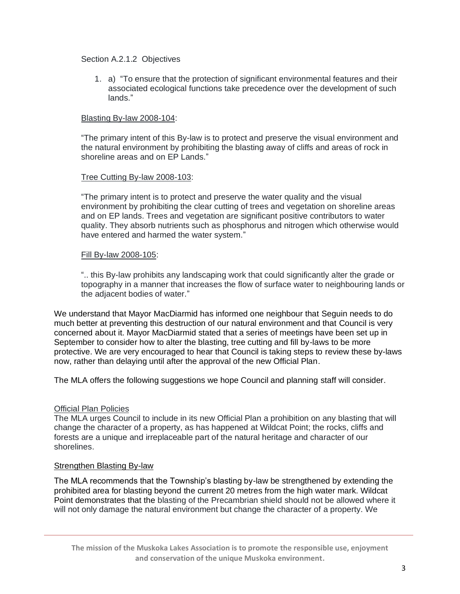Section A.2.1.2 Objectives

1. a) "To ensure that the protection of significant environmental features and their associated ecological functions take precedence over the development of such lands."

## Blasting By-law 2008-104:

"The primary intent of this By-law is to protect and preserve the visual environment and the natural environment by prohibiting the blasting away of cliffs and areas of rock in shoreline areas and on EP Lands."

### Tree Cutting By-law 2008-103:

"The primary intent is to protect and preserve the water quality and the visual environment by prohibiting the clear cutting of trees and vegetation on shoreline areas and on EP lands. Trees and vegetation are significant positive contributors to water quality. They absorb nutrients such as phosphorus and nitrogen which otherwise would have entered and harmed the water system."

## Fill By-law 2008-105:

".. this By-law prohibits any landscaping work that could significantly alter the grade or topography in a manner that increases the flow of surface water to neighbouring lands or the adjacent bodies of water."

We understand that Mayor MacDiarmid has informed one neighbour that Seguin needs to do much better at preventing this destruction of our natural environment and that Council is very concerned about it. Mayor MacDiarmid stated that a series of meetings have been set up in September to consider how to alter the blasting, tree cutting and fill by-laws to be more protective. We are very encouraged to hear that Council is taking steps to review these by-laws now, rather than delaying until after the approval of the new Official Plan.

The MLA offers the following suggestions we hope Council and planning staff will consider.

# Official Plan Policies

The MLA urges Council to include in its new Official Plan a prohibition on any blasting that will change the character of a property, as has happened at Wildcat Point; the rocks, cliffs and forests are a unique and irreplaceable part of the natural heritage and character of our shorelines.

# Strengthen Blasting By-law

The MLA recommends that the Township's blasting by-law be strengthened by extending the prohibited area for blasting beyond the current 20 metres from the high water mark. Wildcat Point demonstrates that the blasting of the Precambrian shield should not be allowed where it will not only damage the natural environment but change the character of a property. We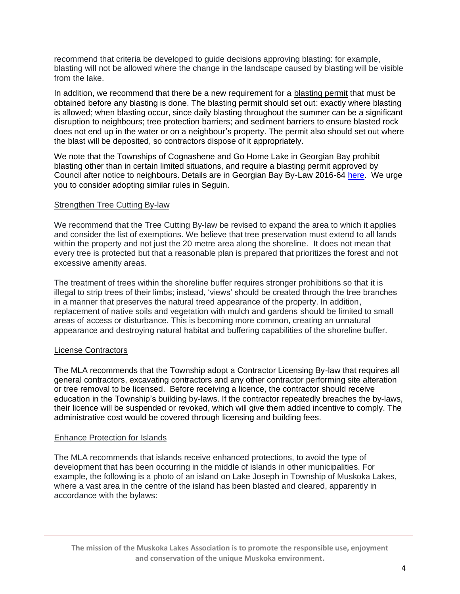recommend that criteria be developed to guide decisions approving blasting: for example, blasting will not be allowed where the change in the landscape caused by blasting will be visible from the lake.

In addition, we recommend that there be a new requirement for a blasting permit that must be obtained before any blasting is done. The blasting permit should set out: exactly where blasting is allowed; when blasting occur, since daily blasting throughout the summer can be a significant disruption to neighbours; tree protection barriers; and sediment barriers to ensure blasted rock does not end up in the water or on a neighbour's property. The permit also should set out where the blast will be deposited, so contractors dispose of it appropriately.

We note that the Townships of Cognashene and Go Home Lake in Georgian Bay prohibit blasting other than in certain limited situations, and require a blasting permit approved by Council after notice to neighbours. Details are in Georgian Bay By-Law 2016-6[4 here.](https://georgianbay.civicweb.net/document/155001/2016-64%20Being%20a%20by-law%20to%20regulate%20balsting%20along%20the%20shoreline%20of%20Georgian%20Bay%20waterfront%20properties%20and%20inland%20lakes%20within%20the%20Township%20of%20Georgian%20Bay.pdf) We urge you to consider adopting similar rules in Seguin.

## Strengthen Tree Cutting By-law

We recommend that the Tree Cutting By-law be revised to expand the area to which it applies and consider the list of exemptions. We believe that tree preservation must extend to all lands within the property and not just the 20 metre area along the shoreline. It does not mean that every tree is protected but that a reasonable plan is prepared that prioritizes the forest and not excessive amenity areas.

The treatment of trees within the shoreline buffer requires stronger prohibitions so that it is illegal to strip trees of their limbs; instead, 'views' should be created through the tree branches in a manner that preserves the natural treed appearance of the property. In addition, replacement of native soils and vegetation with mulch and gardens should be limited to small areas of access or disturbance. This is becoming more common, creating an unnatural appearance and destroying natural habitat and buffering capabilities of the shoreline buffer.

### License Contractors

The MLA recommends that the Township adopt a Contractor Licensing By-law that requires all general contractors, excavating contractors and any other contractor performing site alteration or tree removal to be licensed. Before receiving a licence, the contractor should receive education in the Township's building by-laws. If the contractor repeatedly breaches the by-laws, their licence will be suspended or revoked, which will give them added incentive to comply. The administrative cost would be covered through licensing and building fees.

### Enhance Protection for Islands

The MLA recommends that islands receive enhanced protections, to avoid the type of development that has been occurring in the middle of islands in other municipalities. For example, the following is a photo of an island on Lake Joseph in Township of Muskoka Lakes, where a vast area in the centre of the island has been blasted and cleared, apparently in accordance with the bylaws:

**The mission of the Muskoka Lakes Association is to promote the responsible use, enjoyment and conservation of the unique Muskoka environment.**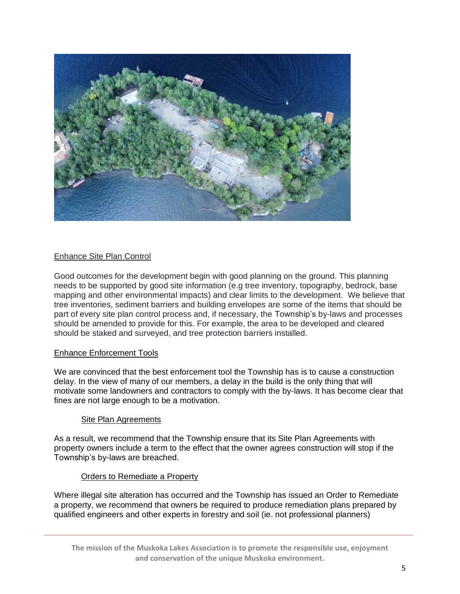

# Enhance Site Plan Control

Good outcomes for the development begin with good planning on the ground. This planning needs to be supported by good site information (e.g tree inventory, topography, bedrock, base mapping and other environmental impacts) and clear limits to the development. We believe that tree inventories, sediment barriers and building envelopes are some of the items that should be part of every site plan control process and, if necessary, the Township's by-laws and processes should be amended to provide for this. For example, the area to be developed and cleared should be staked and surveyed, and tree protection barriers installed.

### Enhance Enforcement Tools

We are convinced that the best enforcement tool the Township has is to cause a construction delay. In the view of many of our members, a delay in the build is the only thing that will motivate some landowners and contractors to comply with the by-laws. It has become clear that fines are not large enough to be a motivation.

### Site Plan Agreements

As a result, we recommend that the Township ensure that its Site Plan Agreements with property owners include a term to the effect that the owner agrees construction will stop if the Township's by-laws are breached.

### Orders to Remediate a Property

Where illegal site alteration has occurred and the Township has issued an Order to Remediate a property, we recommend that owners be required to produce remediation plans prepared by qualified engineers and other experts in forestry and soil (ie. not professional planners)

**The mission of the Muskoka Lakes Association is to promote the responsible use, enjoyment and conservation of the unique Muskoka environment.**